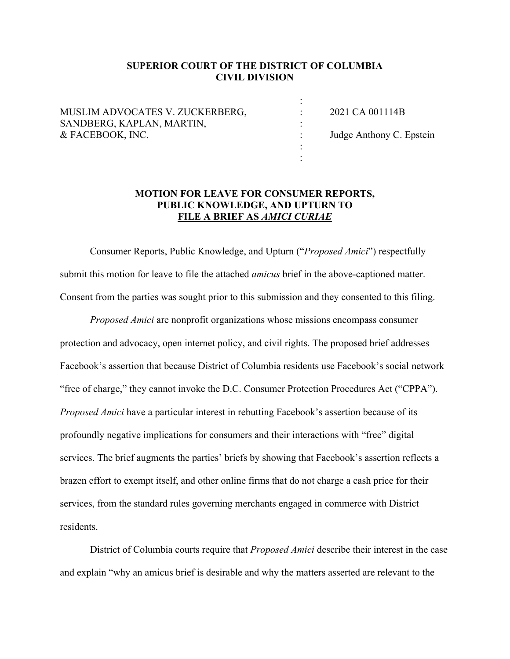### **SUPERIOR COURT OF THE DISTRICT OF COLUMBIA CIVIL DIVISION**

| MUSLIM ADVOCATES V. ZUCKERBERG, | 2021 CA 001114B          |
|---------------------------------|--------------------------|
| SANDBERG, KAPLAN, MARTIN,       |                          |
| & FACEBOOK, INC.                | Judge Anthony C. Epstein |
|                                 |                          |
|                                 |                          |

## **MOTION FOR LEAVE FOR CONSUMER REPORTS, PUBLIC KNOWLEDGE, AND UPTURN TO FILE A BRIEF AS** *AMICI CURIAE*

Consumer Reports, Public Knowledge, and Upturn ("*Proposed Amici*") respectfully submit this motion for leave to file the attached *amicus* brief in the above-captioned matter. Consent from the parties was sought prior to this submission and they consented to this filing.

*Proposed Amici* are nonprofit organizations whose missions encompass consumer protection and advocacy, open internet policy, and civil rights. The proposed brief addresses Facebook's assertion that because District of Columbia residents use Facebook's social network "free of charge," they cannot invoke the D.C. Consumer Protection Procedures Act ("CPPA"). *Proposed Amici* have a particular interest in rebutting Facebook's assertion because of its profoundly negative implications for consumers and their interactions with "free" digital services. The brief augments the parties' briefs by showing that Facebook's assertion reflects a brazen effort to exempt itself, and other online firms that do not charge a cash price for their services, from the standard rules governing merchants engaged in commerce with District residents.

District of Columbia courts require that *Proposed Amici* describe their interest in the case and explain "why an amicus brief is desirable and why the matters asserted are relevant to the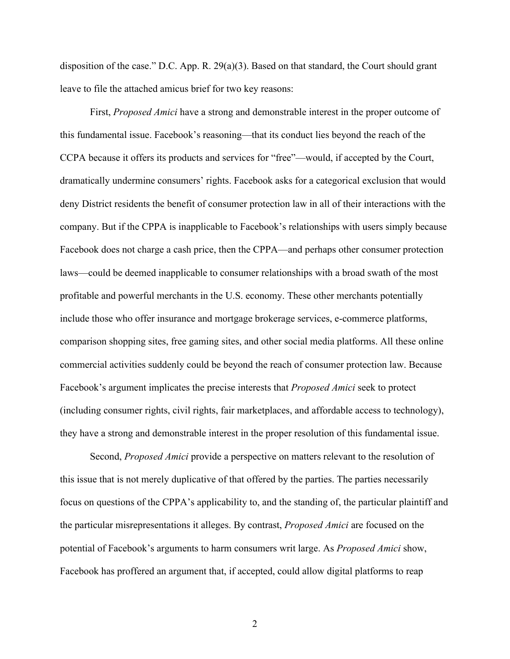disposition of the case." D.C. App. R. 29(a)(3). Based on that standard, the Court should grant leave to file the attached amicus brief for two key reasons:

First, *Proposed Amici* have a strong and demonstrable interest in the proper outcome of this fundamental issue. Facebook's reasoning—that its conduct lies beyond the reach of the CCPA because it offers its products and services for "free"—would, if accepted by the Court, dramatically undermine consumers' rights. Facebook asks for a categorical exclusion that would deny District residents the benefit of consumer protection law in all of their interactions with the company. But if the CPPA is inapplicable to Facebook's relationships with users simply because Facebook does not charge a cash price, then the CPPA—and perhaps other consumer protection laws—could be deemed inapplicable to consumer relationships with a broad swath of the most profitable and powerful merchants in the U.S. economy. These other merchants potentially include those who offer insurance and mortgage brokerage services, e-commerce platforms, comparison shopping sites, free gaming sites, and other social media platforms. All these online commercial activities suddenly could be beyond the reach of consumer protection law. Because Facebook's argument implicates the precise interests that *Proposed Amici* seek to protect (including consumer rights, civil rights, fair marketplaces, and affordable access to technology), they have a strong and demonstrable interest in the proper resolution of this fundamental issue.

Second, *Proposed Amici* provide a perspective on matters relevant to the resolution of this issue that is not merely duplicative of that offered by the parties. The parties necessarily focus on questions of the CPPA's applicability to, and the standing of, the particular plaintiff and the particular misrepresentations it alleges. By contrast, *Proposed Amici* are focused on the potential of Facebook's arguments to harm consumers writ large. As *Proposed Amici* show, Facebook has proffered an argument that, if accepted, could allow digital platforms to reap

2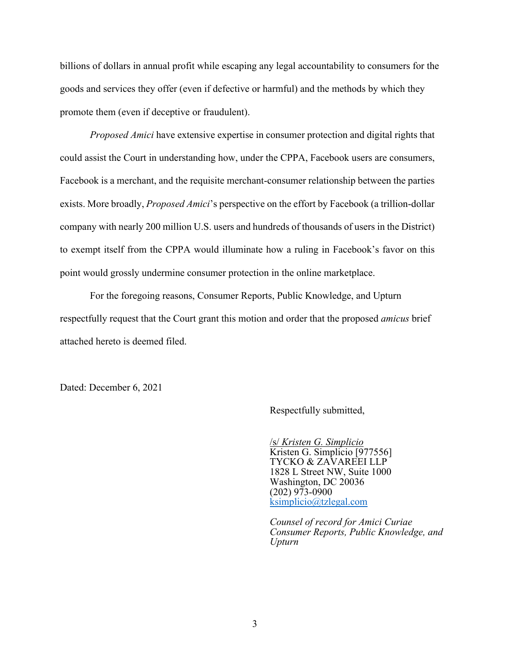billions of dollars in annual profit while escaping any legal accountability to consumers for the goods and services they offer (even if defective or harmful) and the methods by which they promote them (even if deceptive or fraudulent).

*Proposed Amici* have extensive expertise in consumer protection and digital rights that could assist the Court in understanding how, under the CPPA, Facebook users are consumers, Facebook is a merchant, and the requisite merchant-consumer relationship between the parties exists. More broadly, *Proposed Amici*'s perspective on the effort by Facebook (a trillion-dollar company with nearly 200 million U.S. users and hundreds of thousands of users in the District) to exempt itself from the CPPA would illuminate how a ruling in Facebook's favor on this point would grossly undermine consumer protection in the online marketplace.

For the foregoing reasons, Consumer Reports, Public Knowledge, and Upturn respectfully request that the Court grant this motion and order that the proposed *amicus* brief attached hereto is deemed filed.

Dated: December 6, 2021

Respectfully submitted,

/s/ *Kristen G. Simplicio* Kristen G. Simplicio [977556] TYCKO & ZAVAREEI LLP 1828 L Street NW, Suite 1000 Washington, DC 20036 (202) 973-0900 [ksimplicio@tzlegal.com](mailto:ksimplicio@tzlegal.com)

*Counsel of record for Amici Curiae Consumer Reports, Public Knowledge, and Upturn*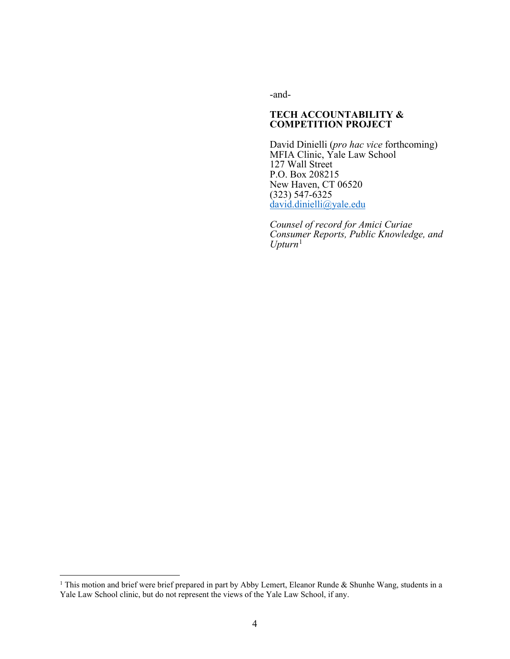-and-

#### **TECH ACCOUNTABILITY & COMPETITION PROJECT**

David Dinielli (*pro hac vice* forthcoming) MFIA Clinic, Yale Law School 127 Wall Street P.O. Box 208215 New Haven, CT 06520 (323) 547-6325 [david.dinielli@yale.edu](mailto:david.dinielli@yale.edu)

*Counsel of record for Amici Curiae Consumer Reports, Public Knowledge, and Upturn*[1](#page-3-0)

<span id="page-3-0"></span><sup>&</sup>lt;sup>1</sup> This motion and brief were brief prepared in part by Abby Lemert, Eleanor Runde & Shunhe Wang, students in a Yale Law School clinic, but do not represent the views of the Yale Law School, if any.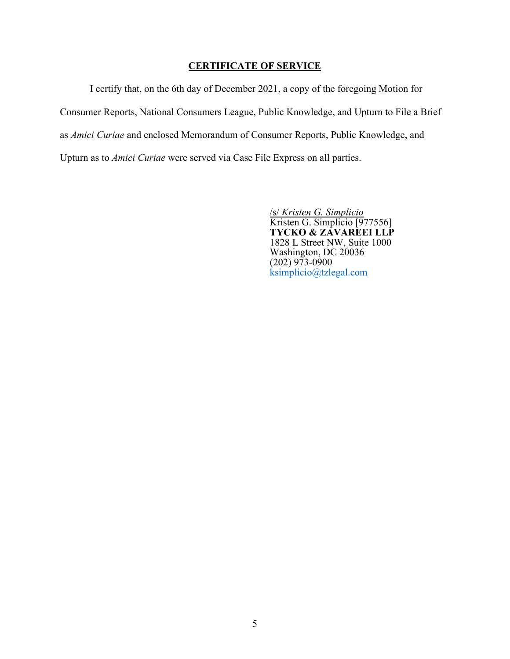## **CERTIFICATE OF SERVICE**

I certify that, on the 6th day of December 2021, a copy of the foregoing Motion for Consumer Reports, National Consumers League, Public Knowledge, and Upturn to File a Brief as *Amici Curiae* and enclosed Memorandum of Consumer Reports, Public Knowledge, and Upturn as to *Amici Curiae* were served via Case File Express on all parties.

> /s/ *Kristen G. Simplicio* Kristen G. Simplicio [977556] **TYCKO & ZAVAREEI LLP** 1828 L Street NW, Suite 1000 Washington, DC 20036 (202) 973-0900 [ksimplicio@tzlegal.com](mailto:ksimplicio@tzlegal.com)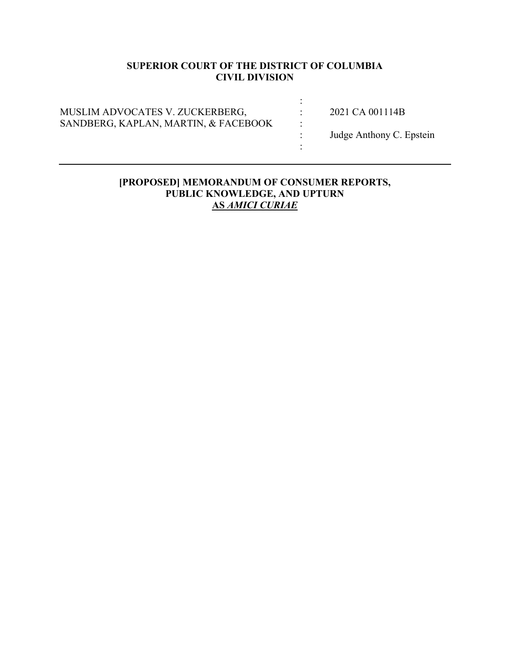# **SUPERIOR COURT OF THE DISTRICT OF COLUMBIA CIVIL DIVISION**

| MUSLIM ADVOCATES V. ZUCKERBERG,<br>SANDBERG, KAPLAN, MARTIN, & FACEBOOK | ٠ | 2021 CA 001114B<br>Judge Anthony C. Epstein |
|-------------------------------------------------------------------------|---|---------------------------------------------|
|-------------------------------------------------------------------------|---|---------------------------------------------|

## **[PROPOSED] MEMORANDUM OF CONSUMER REPORTS, PUBLIC KNOWLEDGE, AND UPTURN AS** *AMICI CURIAE*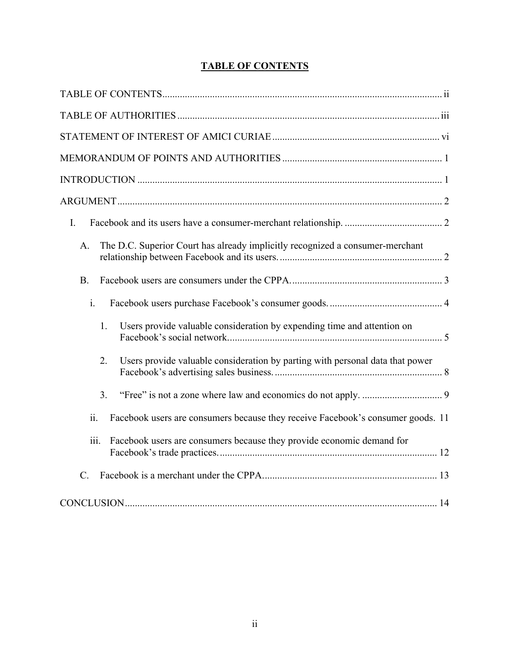|  | <b>TABLE OF CONTENTS</b> |
|--|--------------------------|
|  |                          |

| I.                                                                                     |
|----------------------------------------------------------------------------------------|
| The D.C. Superior Court has already implicitly recognized a consumer-merchant<br>A.    |
| <b>B.</b>                                                                              |
| i.                                                                                     |
| 1.<br>Users provide valuable consideration by expending time and attention on          |
| 2.<br>Users provide valuable consideration by parting with personal data that power    |
| 3.                                                                                     |
| ii.<br>Facebook users are consumers because they receive Facebook's consumer goods. 11 |
| iii.<br>Facebook users are consumers because they provide economic demand for          |
| $C$ .                                                                                  |
|                                                                                        |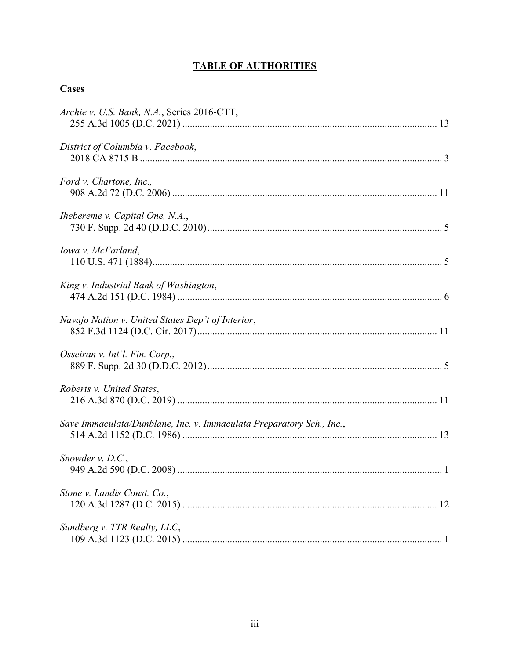# **TABLE OF AUTHORITIES**

# **Cases**

| Archie v. U.S. Bank, N.A., Series 2016-CTT,                          |
|----------------------------------------------------------------------|
| District of Columbia v. Facebook,                                    |
| Ford v. Chartone, Inc.,                                              |
| Ihebereme v. Capital One, N.A.,                                      |
| Iowa v. McFarland,                                                   |
| King v. Industrial Bank of Washington,                               |
| Navajo Nation v. United States Dep't of Interior,                    |
| Osseiran v. Int'l. Fin. Corp.,                                       |
| Roberts v. United States,                                            |
| Save Immaculata/Dunblane, Inc. v. Immaculata Preparatory Sch., Inc., |
| Snowder $v$ . D.C.,                                                  |
| Stone v. Landis Const. Co.,                                          |
| Sundberg v. TTR Realty, LLC,                                         |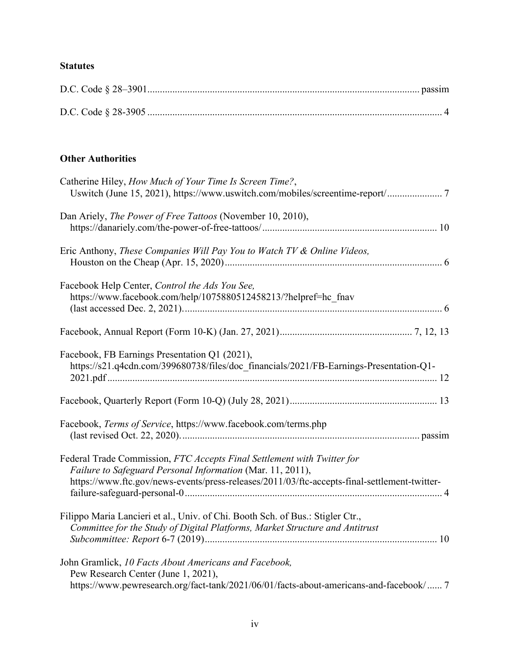# **Statutes**

# **Other Authorities**

| Catherine Hiley, How Much of Your Time Is Screen Time?,<br>Uswitch (June 15, 2021), https://www.uswitch.com/mobiles/screentime-report/ 7                                                                                              |
|---------------------------------------------------------------------------------------------------------------------------------------------------------------------------------------------------------------------------------------|
| Dan Ariely, <i>The Power of Free Tattoos</i> (November 10, 2010),                                                                                                                                                                     |
| Eric Anthony, These Companies Will Pay You to Watch TV & Online Videos,                                                                                                                                                               |
| Facebook Help Center, Control the Ads You See,<br>https://www.facebook.com/help/1075880512458213/?helpref=hc fnav                                                                                                                     |
|                                                                                                                                                                                                                                       |
| Facebook, FB Earnings Presentation Q1 (2021),<br>https://s21.q4cdn.com/399680738/files/doc_financials/2021/FB-Earnings-Presentation-Q1-                                                                                               |
|                                                                                                                                                                                                                                       |
| Facebook, Terms of Service, https://www.facebook.com/terms.php                                                                                                                                                                        |
| Federal Trade Commission, FTC Accepts Final Settlement with Twitter for<br>Failure to Safeguard Personal Information (Mar. 11, 2011),<br>https://www.ftc.gov/news-events/press-releases/2011/03/ftc-accepts-final-settlement-twitter- |
| Filippo Maria Lancieri et al., Univ. of Chi. Booth Sch. of Bus.: Stigler Ctr.,<br>Committee for the Study of Digital Platforms, Market Structure and Antitrust                                                                        |
| John Gramlick, 10 Facts About Americans and Facebook,<br>Pew Research Center (June 1, 2021),<br>https://www.pewresearch.org/fact-tank/2021/06/01/facts-about-americans-and-facebook/ 7                                                |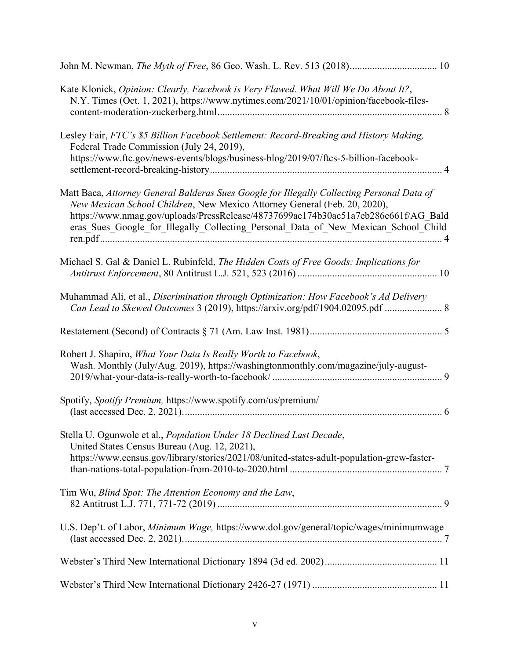| Kate Klonick, Opinion: Clearly, Facebook is Very Flawed. What Will We Do About It?,<br>N.Y. Times (Oct. 1, 2021), https://www.nytimes.com/2021/10/01/opinion/facebook-files-                                                                                                                                                                         |
|------------------------------------------------------------------------------------------------------------------------------------------------------------------------------------------------------------------------------------------------------------------------------------------------------------------------------------------------------|
| Lesley Fair, FTC's \$5 Billion Facebook Settlement: Record-Breaking and History Making,<br>Federal Trade Commission (July 24, 2019),<br>https://www.ftc.gov/news-events/blogs/business-blog/2019/07/ftcs-5-billion-facebook-                                                                                                                         |
| Matt Baca, Attorney General Balderas Sues Google for Illegally Collecting Personal Data of<br>New Mexican School Children, New Mexico Attorney General (Feb. 20, 2020),<br>https://www.nmag.gov/uploads/PressRelease/48737699ae174b30ac51a7eb286e661f/AG Bald<br>eras_Sues_Google_for_Illegally_Collecting_Personal_Data_of_New_Mexican_School_Child |
| Michael S. Gal & Daniel L. Rubinfeld, The Hidden Costs of Free Goods: Implications for                                                                                                                                                                                                                                                               |
| Muhammad Ali, et al., Discrimination through Optimization: How Facebook's Ad Delivery<br>Can Lead to Skewed Outcomes 3 (2019), https://arxiv.org/pdf/1904.02095.pdf  8                                                                                                                                                                               |
|                                                                                                                                                                                                                                                                                                                                                      |
| Robert J. Shapiro, What Your Data Is Really Worth to Facebook,<br>Wash. Monthly (July/Aug. 2019), https://washingtonmonthly.com/magazine/july-august-                                                                                                                                                                                                |
| Spotify, Spotify Premium, https://www.spotify.com/us/premium/                                                                                                                                                                                                                                                                                        |
| Stella U. Ogunwole et al., Population Under 18 Declined Last Decade,<br>United States Census Bureau (Aug. 12, 2021),<br>https://www.census.gov/library/stories/2021/08/united-states-adult-population-grew-faster-                                                                                                                                   |
| Tim Wu, Blind Spot: The Attention Economy and the Law,                                                                                                                                                                                                                                                                                               |
| U.S. Dep't. of Labor, Minimum Wage, https://www.dol.gov/general/topic/wages/minimumwage                                                                                                                                                                                                                                                              |
|                                                                                                                                                                                                                                                                                                                                                      |
|                                                                                                                                                                                                                                                                                                                                                      |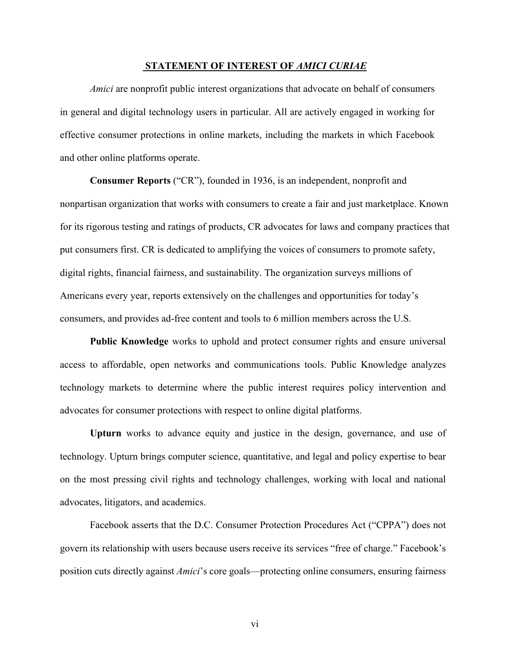#### **STATEMENT OF INTEREST OF** *AMICI CURIAE*

*Amici* are nonprofit public interest organizations that advocate on behalf of consumers in general and digital technology users in particular. All are actively engaged in working for effective consumer protections in online markets, including the markets in which Facebook and other online platforms operate.

**Consumer Reports** ("CR"), founded in 1936, is an independent, nonprofit and nonpartisan organization that works with consumers to create a fair and just marketplace. Known for its rigorous testing and ratings of products, CR advocates for laws and company practices that put consumers first. CR is dedicated to amplifying the voices of consumers to promote safety, digital rights, financial fairness, and sustainability. The organization surveys millions of Americans every year, reports extensively on the challenges and opportunities for today's consumers, and provides ad-free content and tools to 6 million members across the U.S.

**Public Knowledge** works to uphold and protect consumer rights and ensure universal access to affordable, open networks and communications tools. Public Knowledge analyzes technology markets to determine where the public interest requires policy intervention and advocates for consumer protections with respect to online digital platforms.

**Upturn** works to advance equity and justice in the design, governance, and use of technology. Upturn brings computer science, quantitative, and legal and policy expertise to bear on the most pressing civil rights and technology challenges, working with local and national advocates, litigators, and academics.

Facebook asserts that the D.C. Consumer Protection Procedures Act ("CPPA") does not govern its relationship with users because users receive its services "free of charge." Facebook's position cuts directly against *Amici*'s core goals—protecting online consumers, ensuring fairness

vi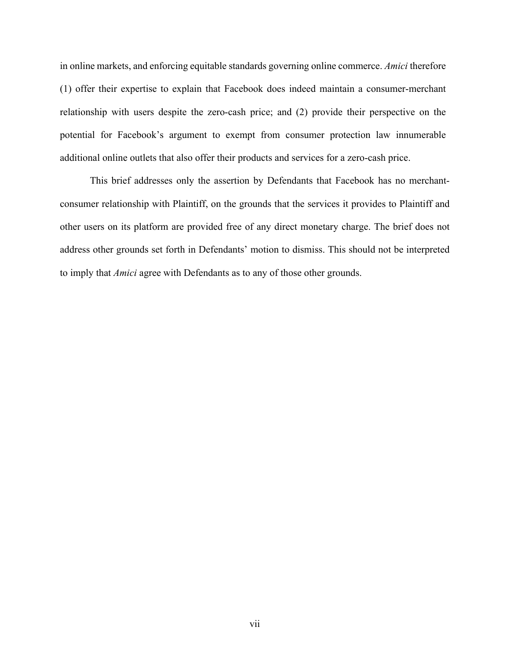in online markets, and enforcing equitable standards governing online commerce. *Amici* therefore (1) offer their expertise to explain that Facebook does indeed maintain a consumer-merchant relationship with users despite the zero-cash price; and (2) provide their perspective on the potential for Facebook's argument to exempt from consumer protection law innumerable additional online outlets that also offer their products and services for a zero-cash price.

This brief addresses only the assertion by Defendants that Facebook has no merchantconsumer relationship with Plaintiff, on the grounds that the services it provides to Plaintiff and other users on its platform are provided free of any direct monetary charge. The brief does not address other grounds set forth in Defendants' motion to dismiss. This should not be interpreted to imply that *Amici* agree with Defendants as to any of those other grounds.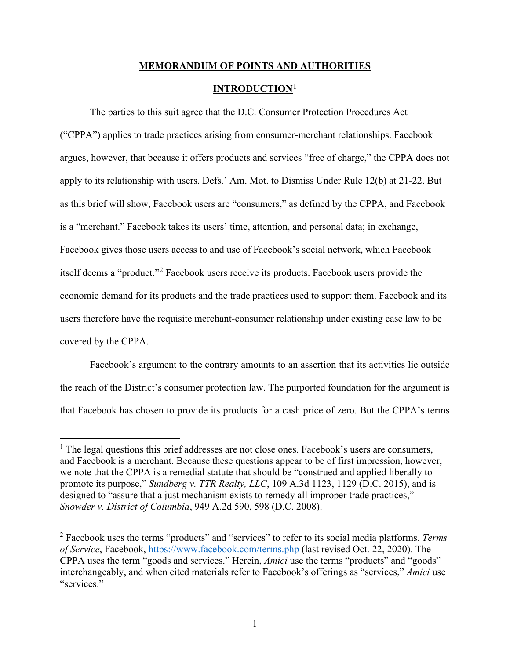# **MEMORANDUM OF POINTS AND AUTHORITIES INTRODUCTION[1](#page-12-0)**

The parties to this suit agree that the D.C. Consumer Protection Procedures Act ("CPPA") applies to trade practices arising from consumer-merchant relationships. Facebook argues, however, that because it offers products and services "free of charge," the CPPA does not apply to its relationship with users. Defs.' Am. Mot. to Dismiss Under Rule 12(b) at 21-22. But as this brief will show, Facebook users are "consumers," as defined by the CPPA, and Facebook is a "merchant." Facebook takes its users' time, attention, and personal data; in exchange, Facebook gives those users access to and use of Facebook's social network, which Facebook itself deems a "product."[2](#page-12-1) Facebook users receive its products. Facebook users provide the economic demand for its products and the trade practices used to support them. Facebook and its users therefore have the requisite merchant-consumer relationship under existing case law to be covered by the CPPA.

Facebook's argument to the contrary amounts to an assertion that its activities lie outside the reach of the District's consumer protection law. The purported foundation for the argument is that Facebook has chosen to provide its products for a cash price of zero. But the CPPA's terms

<span id="page-12-0"></span> $<sup>1</sup>$  The legal questions this brief addresses are not close ones. Facebook's users are consumers,</sup> and Facebook is a merchant. Because these questions appear to be of first impression, however, we note that the CPPA is a remedial statute that should be "construed and applied liberally to promote its purpose," *Sundberg v. TTR Realty, LLC*, 109 A.3d 1123, 1129 (D.C. 2015), and is designed to "assure that a just mechanism exists to remedy all improper trade practices," *Snowder v. District of Columbia*, 949 A.2d 590, 598 (D.C. 2008).

<span id="page-12-1"></span><sup>2</sup> Facebook uses the terms "products" and "services" to refer to its social media platforms. *Terms of Service*, Facebook,<https://www.facebook.com/terms.php> (last revised Oct. 22, 2020). The CPPA uses the term "goods and services." Herein, *Amici* use the terms "products" and "goods" interchangeably, and when cited materials refer to Facebook's offerings as "services," *Amici* use "services."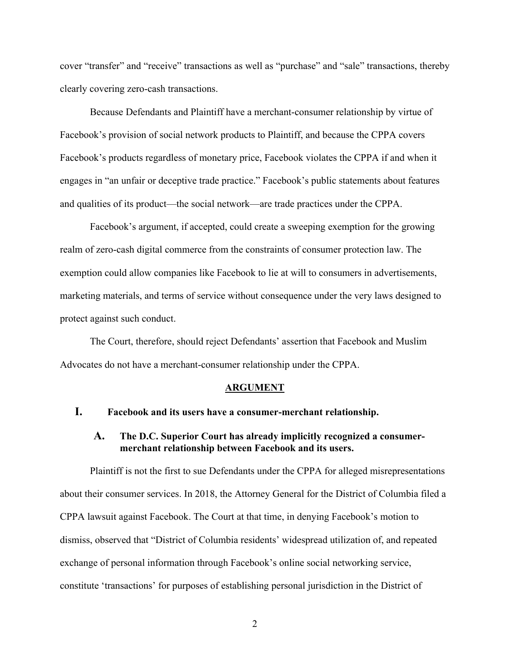cover "transfer" and "receive" transactions as well as "purchase" and "sale" transactions, thereby clearly covering zero-cash transactions.

Because Defendants and Plaintiff have a merchant-consumer relationship by virtue of Facebook's provision of social network products to Plaintiff, and because the CPPA covers Facebook's products regardless of monetary price, Facebook violates the CPPA if and when it engages in "an unfair or deceptive trade practice." Facebook's public statements about features and qualities of its product—the social network—are trade practices under the CPPA.

Facebook's argument, if accepted, could create a sweeping exemption for the growing realm of zero-cash digital commerce from the constraints of consumer protection law. The exemption could allow companies like Facebook to lie at will to consumers in advertisements, marketing materials, and terms of service without consequence under the very laws designed to protect against such conduct.

The Court, therefore, should reject Defendants' assertion that Facebook and Muslim Advocates do not have a merchant-consumer relationship under the CPPA.

#### **ARGUMENT**

## **I. Facebook and its users have a consumer-merchant relationship.**

## **A. The D.C. Superior Court has already implicitly recognized a consumermerchant relationship between Facebook and its users.**

Plaintiff is not the first to sue Defendants under the CPPA for alleged misrepresentations about their consumer services. In 2018, the Attorney General for the District of Columbia filed a CPPA lawsuit against Facebook. The Court at that time, in denying Facebook's motion to dismiss, observed that "District of Columbia residents' widespread utilization of, and repeated exchange of personal information through Facebook's online social networking service, constitute 'transactions' for purposes of establishing personal jurisdiction in the District of

2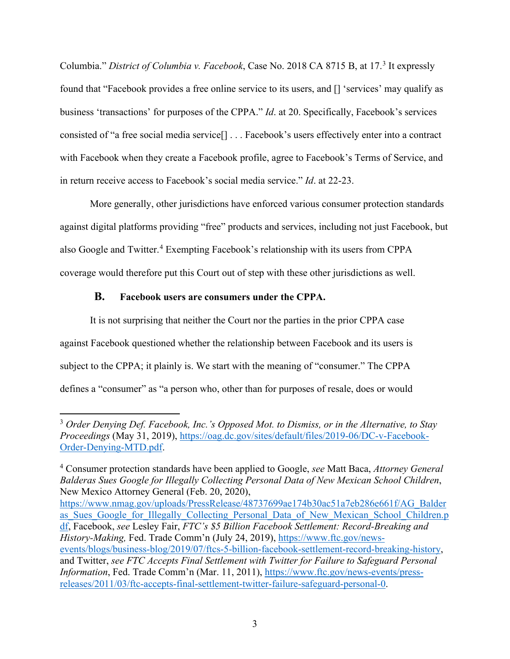Columbia." *District of Columbia v. Facebook*, Case No. 2018 CA 8715 B, at 17.<sup>[3](#page-14-0)</sup> It expressly found that "Facebook provides a free online service to its users, and [] 'services' may qualify as business 'transactions' for purposes of the CPPA." *Id*. at 20. Specifically, Facebook's services consisted of "a free social media service[] . . . Facebook's users effectively enter into a contract with Facebook when they create a Facebook profile, agree to Facebook's Terms of Service, and in return receive access to Facebook's social media service." *Id*. at 22-23.

More generally, other jurisdictions have enforced various consumer protection standards against digital platforms providing "free" products and services, including not just Facebook, but also Google and Twitter.<sup>[4](#page-14-1)</sup> Exempting Facebook's relationship with its users from CPPA coverage would therefore put this Court out of step with these other jurisdictions as well.

## **B. Facebook users are consumers under the CPPA.**

It is not surprising that neither the Court nor the parties in the prior CPPA case against Facebook questioned whether the relationship between Facebook and its users is subject to the CPPA; it plainly is. We start with the meaning of "consumer." The CPPA defines a "consumer" as "a person who, other than for purposes of resale, does or would

[https://www.nmag.gov/uploads/PressRelease/48737699ae174b30ac51a7eb286e661f/AG\\_Balder](https://www.nmag.gov/uploads/PressRelease/48737699ae174b30ac51a7eb286e661f/AG_Balderas_Sues_Google_for_Illegally_Collecting_Personal_Data_of_New_Mexican_School_Children.pdf) as Sues Google for Illegally Collecting Personal Data of New Mexican School Children.p [df,](https://www.nmag.gov/uploads/PressRelease/48737699ae174b30ac51a7eb286e661f/AG_Balderas_Sues_Google_for_Illegally_Collecting_Personal_Data_of_New_Mexican_School_Children.pdf) Facebook, *see* Lesley Fair, *FTC's \$5 Billion Facebook Settlement: Record-Breaking and History-Making,* Fed. Trade Comm'n (July 24, 2019), [https://www.ftc.gov/news](https://www.ftc.gov/news-events/blogs/business-blog/2019/07/ftcs-5-billion-facebook-settlement-record-breaking-history)[events/blogs/business-blog/2019/07/ftcs-5-billion-facebook-settlement-record-breaking-history,](https://www.ftc.gov/news-events/blogs/business-blog/2019/07/ftcs-5-billion-facebook-settlement-record-breaking-history) and Twitter, *see FTC Accepts Final Settlement with Twitter for Failure to Safeguard Personal Information*, Fed. Trade Comm'n (Mar. 11, 2011), [https://www.ftc.gov/news-events/press](https://www.ftc.gov/news-events/press-releases/2011/03/ftc-accepts-final-settlement-twitter-failure-safeguard-personal-0)[releases/2011/03/ftc-accepts-final-settlement-twitter-failure-safeguard-personal-0.](https://www.ftc.gov/news-events/press-releases/2011/03/ftc-accepts-final-settlement-twitter-failure-safeguard-personal-0)

<span id="page-14-0"></span><sup>3</sup> *Order Denying Def. Facebook, Inc.'s Opposed Mot. to Dismiss, or in the Alternative, to Stay Proceedings* (May 31, 2019), [https://oag.dc.gov/sites/default/files/2019-06/DC-v-Facebook-](https://oag.dc.gov/sites/default/files/2019-06/DC-v-Facebook-Order-Denying-MTD.pdf)[Order-Denying-MTD.pdf.](https://oag.dc.gov/sites/default/files/2019-06/DC-v-Facebook-Order-Denying-MTD.pdf)

<span id="page-14-1"></span><sup>4</sup> Consumer protection standards have been applied to Google, *see* Matt Baca, *Attorney General Balderas Sues Google for Illegally Collecting Personal Data of New Mexican School Children*, New Mexico Attorney General (Feb. 20, 2020),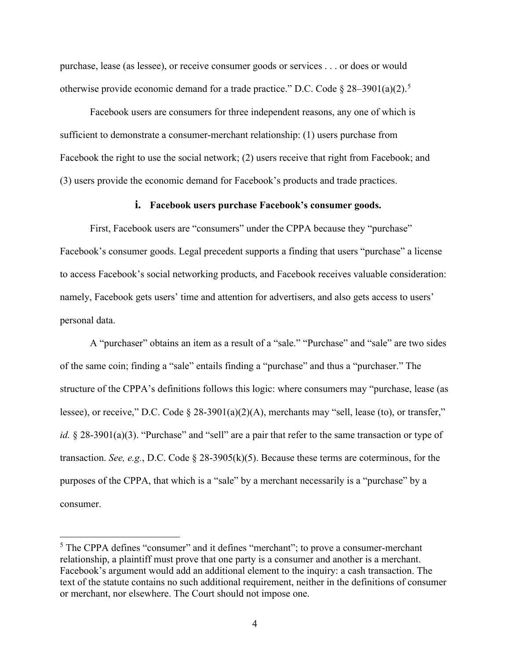purchase, lease (as lessee), or receive consumer goods or services . . . or does or would otherwise provide economic demand for a trade practice." D.C. Code  $\S 28-3901(a)(2)$ .<sup>[5](#page-15-0)</sup>

Facebook users are consumers for three independent reasons, any one of which is sufficient to demonstrate a consumer-merchant relationship: (1) users purchase from Facebook the right to use the social network; (2) users receive that right from Facebook; and (3) users provide the economic demand for Facebook's products and trade practices.

#### **i. Facebook users purchase Facebook's consumer goods.**

First, Facebook users are "consumers" under the CPPA because they "purchase" Facebook's consumer goods. Legal precedent supports a finding that users "purchase" a license to access Facebook's social networking products, and Facebook receives valuable consideration: namely, Facebook gets users' time and attention for advertisers, and also gets access to users' personal data.

A "purchaser" obtains an item as a result of a "sale." "Purchase" and "sale" are two sides of the same coin; finding a "sale" entails finding a "purchase" and thus a "purchaser." The structure of the CPPA's definitions follows this logic: where consumers may "purchase, lease (as lessee), or receive," D.C. Code § 28-3901(a)(2)(A), merchants may "sell, lease (to), or transfer," *id.* § 28-3901(a)(3). "Purchase" and "sell" are a pair that refer to the same transaction or type of transaction. *See, e.g.*, D.C. Code § 28-3905(k)(5). Because these terms are coterminous, for the purposes of the CPPA, that which is a "sale" by a merchant necessarily is a "purchase" by a consumer.

<span id="page-15-0"></span><sup>&</sup>lt;sup>5</sup> The CPPA defines "consumer" and it defines "merchant"; to prove a consumer-merchant relationship, a plaintiff must prove that one party is a consumer and another is a merchant. Facebook's argument would add an additional element to the inquiry: a cash transaction. The text of the statute contains no such additional requirement, neither in the definitions of consumer or merchant, nor elsewhere. The Court should not impose one.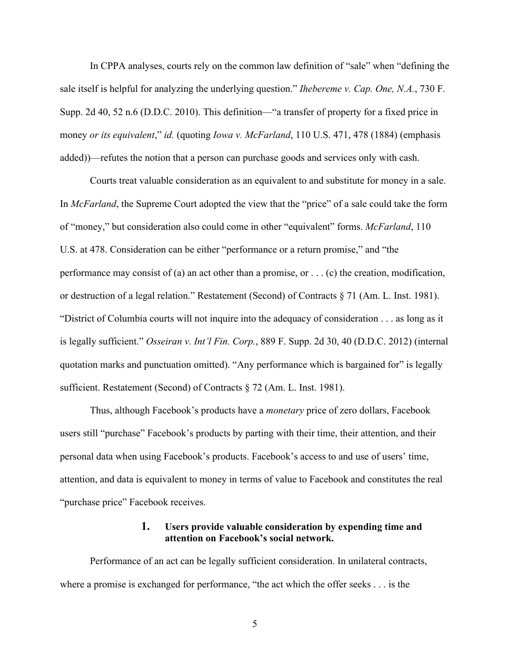In CPPA analyses, courts rely on the common law definition of "sale" when "defining the sale itself is helpful for analyzing the underlying question." *Ihebereme v. Cap. One, N.A.*, 730 F. Supp. 2d 40, 52 n.6 (D.D.C. 2010). This definition—"a transfer of property for a fixed price in money *or its equivalent*," *id.* (quoting *Iowa v. McFarland*, 110 U.S. 471, 478 (1884) (emphasis added))—refutes the notion that a person can purchase goods and services only with cash.

Courts treat valuable consideration as an equivalent to and substitute for money in a sale. In *McFarland*, the Supreme Court adopted the view that the "price" of a sale could take the form of "money," but consideration also could come in other "equivalent" forms. *McFarland*, 110 U.S. at 478. Consideration can be either "performance or a return promise," and "the performance may consist of (a) an act other than a promise, or . . . (c) the creation, modification, or destruction of a legal relation." Restatement (Second) of Contracts § 71 (Am. L. Inst. 1981). "District of Columbia courts will not inquire into the adequacy of consideration . . . as long as it is legally sufficient." *Osseiran v. Int'l Fin. Corp.*, 889 F. Supp. 2d 30, 40 (D.D.C. 2012) (internal quotation marks and punctuation omitted). "Any performance which is bargained for" is legally sufficient. Restatement (Second) of Contracts § 72 (Am. L. Inst. 1981).

Thus, although Facebook's products have a *monetary* price of zero dollars, Facebook users still "purchase" Facebook's products by parting with their time, their attention, and their personal data when using Facebook's products. Facebook's access to and use of users' time, attention, and data is equivalent to money in terms of value to Facebook and constitutes the real "purchase price" Facebook receives.

## **1. Users provide valuable consideration by expending time and attention on Facebook's social network.**

Performance of an act can be legally sufficient consideration. In unilateral contracts, where a promise is exchanged for performance, "the act which the offer seeks . . . is the

5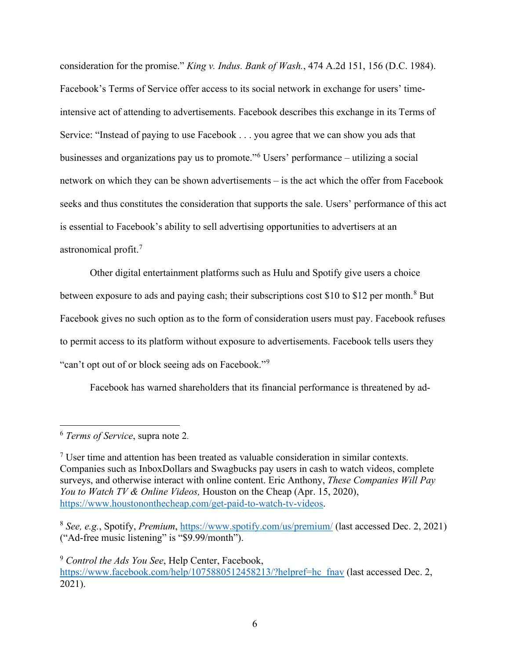consideration for the promise." *King v. Indus. Bank of Wash.*, 474 A.2d 151, 156 (D.C. 1984). Facebook's Terms of Service offer access to its social network in exchange for users' timeintensive act of attending to advertisements. Facebook describes this exchange in its Terms of Service: "Instead of paying to use Facebook . . . you agree that we can show you ads that businesses and organizations pay us to promote."[6](#page-17-0) Users' performance – utilizing a social network on which they can be shown advertisements – is the act which the offer from Facebook seeks and thus constitutes the consideration that supports the sale. Users' performance of this act is essential to Facebook's ability to sell advertising opportunities to advertisers at an astronomical profit.[7](#page-17-1)

Other digital entertainment platforms such as Hulu and Spotify give users a choice between exposure to ads and paying cash; their subscriptions cost \$10 to \$12 per month.<sup>[8](#page-17-2)</sup> But Facebook gives no such option as to the form of consideration users must pay. Facebook refuses to permit access to its platform without exposure to advertisements. Facebook tells users they "can't opt out of or block seeing ads on Facebook."[9](#page-17-3)

Facebook has warned shareholders that its financial performance is threatened by ad-

<span id="page-17-0"></span><sup>6</sup> *Terms of Service*, supra note 2.

<span id="page-17-1"></span> $<sup>7</sup>$  User time and attention has been treated as valuable consideration in similar contexts.</sup> Companies such as InboxDollars and Swagbucks pay users in cash to watch videos, complete surveys, and otherwise interact with online content. Eric Anthony, *These Companies Will Pay You to Watch TV & Online Videos,* Houston on the Cheap (Apr. 15, 2020), [https://www.houstononthecheap.com/get-paid-to-watch-tv-videos.](https://www.houstononthecheap.com/get-paid-to-watch-tv-videos)

<span id="page-17-2"></span><sup>8</sup> *See, e.g.*, Spotify, *Premium*,<https://www.spotify.com/us/premium/> (last accessed Dec. 2, 2021) ("Ad-free music listening" is "\$9.99/month").

<span id="page-17-3"></span><sup>9</sup> *Control the Ads You See*, Help Center, Facebook, [https://www.facebook.com/help/1075880512458213/?helpref=hc\\_fnav](https://www.facebook.com/help/1075880512458213/?helpref=hc_fnav) (last accessed Dec. 2, 2021).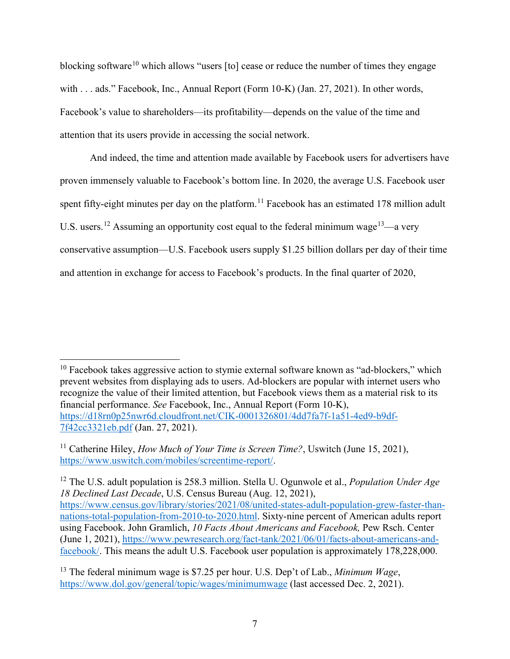blocking software<sup>[10](#page-18-0)</sup> which allows "users [to] cease or reduce the number of times they engage with . . . ads." Facebook, Inc., Annual Report (Form 10-K) (Jan. 27, 2021). In other words, Facebook's value to shareholders—its profitability—depends on the value of the time and attention that its users provide in accessing the social network.

And indeed, the time and attention made available by Facebook users for advertisers have proven immensely valuable to Facebook's bottom line. In 2020, the average U.S. Facebook user spent fifty-eight minutes per day on the platform.<sup>[11](#page-18-1)</sup> Facebook has an estimated 178 million adult U.S. users.<sup>[12](#page-18-2)</sup> Assuming an opportunity cost equal to the federal minimum wage<sup>13</sup>—a very conservative assumption—U.S. Facebook users supply \$1.25 billion dollars per day of their time and attention in exchange for access to Facebook's products. In the final quarter of 2020,

<span id="page-18-0"></span> $10$  Facebook takes aggressive action to stymie external software known as "ad-blockers," which prevent websites from displaying ads to users. Ad-blockers are popular with internet users who recognize the value of their limited attention, but Facebook views them as a material risk to its financial performance. *See* Facebook, Inc., Annual Report (Form 10-K), [https://d18rn0p25nwr6d.cloudfront.net/CIK-0001326801/4dd7fa7f-1a51-4ed9-b9df-](https://d18rn0p25nwr6d.cloudfront.net/CIK-0001326801/4dd7fa7f-1a51-4ed9-b9df-7f42cc3321eb.pdf)[7f42cc3321eb.pdf](https://d18rn0p25nwr6d.cloudfront.net/CIK-0001326801/4dd7fa7f-1a51-4ed9-b9df-7f42cc3321eb.pdf) (Jan. 27, 2021).

<span id="page-18-1"></span><sup>&</sup>lt;sup>11</sup> Catherine Hiley, *How Much of Your Time is Screen Time?*, Uswitch (June 15, 2021), [https://www.uswitch.com/mobiles/screentime-report/.](https://www.uswitch.com/mobiles/screentime-report/)

<span id="page-18-2"></span><sup>12</sup> The U.S. adult population is 258.3 million. Stella U. Ogunwole et al., *Population Under Age 18 Declined Last Decade*, U.S. Census Bureau (Aug. 12, 2021), [https://www.census.gov/library/stories/2021/08/united-states-adult-population-grew-faster-than](https://www.census.gov/library/stories/2021/08/united-states-adult-population-grew-faster-than-nations-total-population-from-2010-to-2020.html)[nations-total-population-from-2010-to-2020.html.](https://www.census.gov/library/stories/2021/08/united-states-adult-population-grew-faster-than-nations-total-population-from-2010-to-2020.html) Sixty-nine percent of American adults report using Facebook. John Gramlich, *10 Facts About Americans and Facebook,* Pew Rsch. Center (June 1, 2021), [https://www.pewresearch.org/fact-tank/2021/06/01/facts-about-americans-and](https://www.pewresearch.org/fact-tank/2021/06/01/facts-about-americans-and-facebook/)[facebook/.](https://www.pewresearch.org/fact-tank/2021/06/01/facts-about-americans-and-facebook/) This means the adult U.S. Facebook user population is approximately 178,228,000.

<span id="page-18-3"></span><sup>13</sup> The federal minimum wage is \$7.25 per hour. U.S. Dep't of Lab., *Minimum Wage*, <https://www.dol.gov/general/topic/wages/minimumwage> (last accessed Dec. 2, 2021).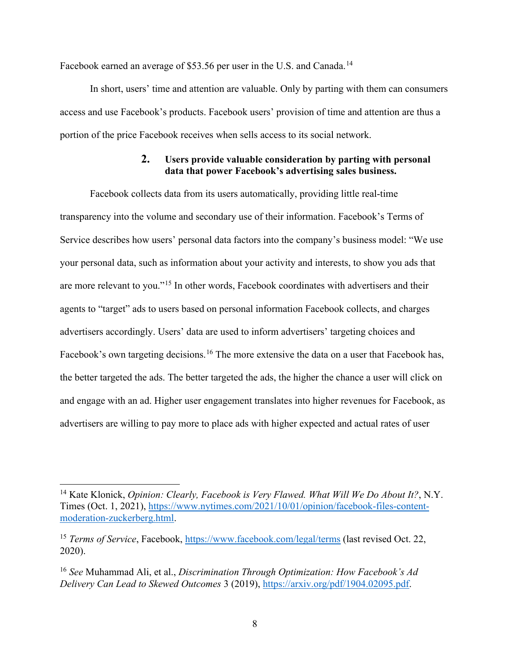Facebook earned an average of \$53.56 per user in the U.S. and Canada.<sup>[14](#page-19-0)</sup>

In short, users' time and attention are valuable. Only by parting with them can consumers access and use Facebook's products. Facebook users' provision of time and attention are thus a portion of the price Facebook receives when sells access to its social network.

## **2. Users provide valuable consideration by parting with personal data that power Facebook's advertising sales business.**

Facebook collects data from its users automatically, providing little real-time transparency into the volume and secondary use of their information. Facebook's Terms of Service describes how users' personal data factors into the company's business model: "We use your personal data, such as information about your activity and interests, to show you ads that are more relevant to you."[15](#page-19-1) In other words, Facebook coordinates with advertisers and their agents to "target" ads to users based on personal information Facebook collects, and charges advertisers accordingly. Users' data are used to inform advertisers' targeting choices and Facebook's own targeting decisions.<sup>[16](#page-19-2)</sup> The more extensive the data on a user that Facebook has, the better targeted the ads. The better targeted the ads, the higher the chance a user will click on and engage with an ad. Higher user engagement translates into higher revenues for Facebook, as advertisers are willing to pay more to place ads with higher expected and actual rates of user

<span id="page-19-0"></span><sup>14</sup> Kate Klonick, *Opinion: Clearly, Facebook is Very Flawed. What Will We Do About It?*, N.Y. Times (Oct. 1, 2021), [https://www.nytimes.com/2021/10/01/opinion/facebook-files-content](https://www.nytimes.com/2021/10/01/opinion/facebook-files-content-moderation-zuckerberg.html)[moderation-zuckerberg.html.](https://www.nytimes.com/2021/10/01/opinion/facebook-files-content-moderation-zuckerberg.html)

<span id="page-19-1"></span><sup>15</sup> *Terms of Service*, Facebook,<https://www.facebook.com/legal/terms> (last revised Oct. 22, 2020).

<span id="page-19-2"></span><sup>16</sup> *See* Muhammad Ali, et al., *Discrimination Through Optimization: How Facebook's Ad Delivery Can Lead to Skewed Outcomes* 3 (2019), [https://arxiv.org/pdf/1904.02095.pdf.](https://arxiv.org/pdf/1904.02095.pdf)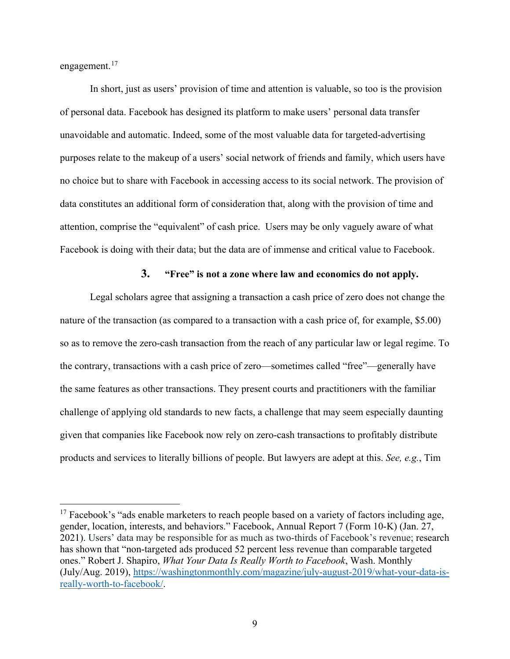engagement.<sup>[17](#page-20-0)</sup>

In short, just as users' provision of time and attention is valuable, so too is the provision of personal data. Facebook has designed its platform to make users' personal data transfer unavoidable and automatic. Indeed, some of the most valuable data for targeted-advertising purposes relate to the makeup of a users' social network of friends and family, which users have no choice but to share with Facebook in accessing access to its social network. The provision of data constitutes an additional form of consideration that, along with the provision of time and attention, comprise the "equivalent" of cash price. Users may be only vaguely aware of what Facebook is doing with their data; but the data are of immense and critical value to Facebook.

#### **3. "Free" is not a zone where law and economics do not apply.**

Legal scholars agree that assigning a transaction a cash price of zero does not change the nature of the transaction (as compared to a transaction with a cash price of, for example, \$5.00) so as to remove the zero-cash transaction from the reach of any particular law or legal regime. To the contrary, transactions with a cash price of zero—sometimes called "free"—generally have the same features as other transactions. They present courts and practitioners with the familiar challenge of applying old standards to new facts, a challenge that may seem especially daunting given that companies like Facebook now rely on zero-cash transactions to profitably distribute products and services to literally billions of people. But lawyers are adept at this. *See, e.g.*, Tim

<span id="page-20-0"></span> $17$  Facebook's "ads enable marketers to reach people based on a variety of factors including age, gender, location, interests, and behaviors." Facebook, Annual Report 7 (Form 10-K) (Jan. 27, 2021). Users' data may be responsible for as much as two-thirds of Facebook's revenue; research has shown that "non-targeted ads produced 52 percent less revenue than comparable targeted ones." Robert J. Shapiro, *What Your Data Is Really Worth to Facebook*, Wash. Monthly (July/Aug. 2019), [https://washingtonmonthly.com/magazine/july-august-2019/what-your-data-is](https://washingtonmonthly.com/magazine/july-august-2019/what-your-data-is-really-worth-to-facebook/)[really-worth-to-facebook/.](https://washingtonmonthly.com/magazine/july-august-2019/what-your-data-is-really-worth-to-facebook/)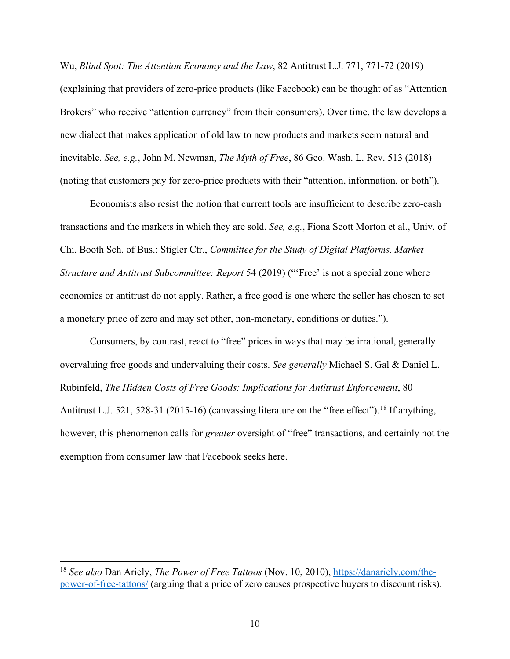Wu, *Blind Spot: The Attention Economy and the Law*, 82 Antitrust L.J. 771, 771-72 (2019) (explaining that providers of zero-price products (like Facebook) can be thought of as "Attention Brokers" who receive "attention currency" from their consumers). Over time, the law develops a new dialect that makes application of old law to new products and markets seem natural and inevitable. *See, e.g.*, John M. Newman, *The Myth of Free*, 86 Geo. Wash. L. Rev. 513 (2018) (noting that customers pay for zero-price products with their "attention, information, or both").

Economists also resist the notion that current tools are insufficient to describe zero-cash transactions and the markets in which they are sold. *See, e.g.*, Fiona Scott Morton et al., Univ. of Chi. Booth Sch. of Bus.: Stigler Ctr., *Committee for the Study of Digital Platforms, Market Structure and Antitrust Subcommittee: Report* 54 (2019) ("'Free' is not a special zone where economics or antitrust do not apply. Rather, a free good is one where the seller has chosen to set a monetary price of zero and may set other, non-monetary, conditions or duties.").

Consumers, by contrast, react to "free" prices in ways that may be irrational, generally overvaluing free goods and undervaluing their costs. *See generally* Michael S. Gal & Daniel L. Rubinfeld, *The Hidden Costs of Free Goods: Implications for Antitrust Enforcement*, 80 Antitrust L.J. 521, 528-31 (2015-16) (canvassing literature on the "free effect").<sup>[18](#page-21-0)</sup> If anything, however, this phenomenon calls for *greater* oversight of "free" transactions, and certainly not the exemption from consumer law that Facebook seeks here.

<span id="page-21-0"></span><sup>18</sup> *See also* Dan Ariely, *The Power of Free Tattoos* (Nov. 10, 2010), [https://danariely.com/the](https://danariely.com/the-power-of-free-tattoos/)[power-of-free-tattoos/](https://danariely.com/the-power-of-free-tattoos/) (arguing that a price of zero causes prospective buyers to discount risks).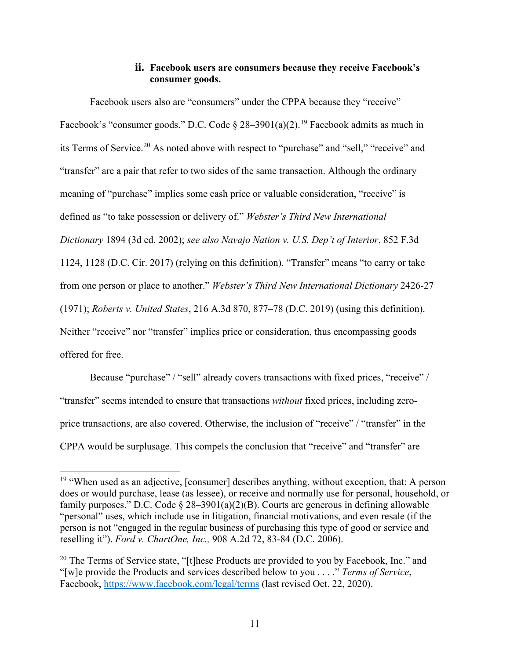## **ii. Facebook users are consumers because they receive Facebook's consumer goods.**

Facebook users also are "consumers" under the CPPA because they "receive" Facebook's "consumer goods." D.C. Code  $\S 28-3901(a)(2)$ .<sup>[19](#page-22-0)</sup> Facebook admits as much in its Terms of Service.[20](#page-22-1) As noted above with respect to "purchase" and "sell," "receive" and "transfer" are a pair that refer to two sides of the same transaction. Although the ordinary meaning of "purchase" implies some cash price or valuable consideration, "receive" is defined as "to take possession or delivery of." *Webster's Third New International Dictionary* 1894 (3d ed. 2002); *see also Navajo Nation v. U.S. Dep't of Interior*, 852 F.3d 1124, 1128 (D.C. Cir. 2017) (relying on this definition). "Transfer" means "to carry or take from one person or place to another." *Webster's Third New International Dictionary* 2426-27 (1971); *Roberts v. United States*, 216 A.3d 870, 877–78 (D.C. 2019) (using this definition). Neither "receive" nor "transfer" implies price or consideration, thus encompassing goods offered for free.

Because "purchase" / "sell" already covers transactions with fixed prices, "receive" / "transfer" seems intended to ensure that transactions *without* fixed prices, including zeroprice transactions, are also covered. Otherwise, the inclusion of "receive" / "transfer" in the CPPA would be surplusage. This compels the conclusion that "receive" and "transfer" are

<span id="page-22-0"></span><sup>&</sup>lt;sup>19</sup> "When used as an adjective, [consumer] describes anything, without exception, that: A person does or would purchase, lease (as lessee), or receive and normally use for personal, household, or family purposes." D.C. Code  $\S 28-3901(a)(2)(B)$ . Courts are generous in defining allowable "personal" uses, which include use in litigation, financial motivations, and even resale (if the person is not "engaged in the regular business of purchasing this type of good or service and reselling it"). *Ford v. ChartOne, Inc.,* 908 A.2d 72, 83-84 (D.C. 2006).

<span id="page-22-1"></span><sup>&</sup>lt;sup>20</sup> The Terms of Service state, "[t]hese Products are provided to you by Facebook, Inc." and "[w]e provide the Products and services described below to you . . . ." *Terms of Service*, Facebook,<https://www.facebook.com/legal/terms> (last revised Oct. 22, 2020).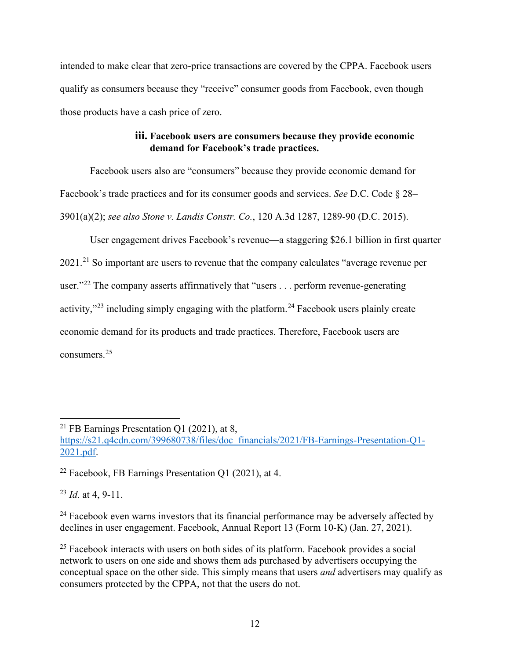intended to make clear that zero-price transactions are covered by the CPPA. Facebook users qualify as consumers because they "receive" consumer goods from Facebook, even though those products have a cash price of zero.

## **iii. Facebook users are consumers because they provide economic demand for Facebook's trade practices.**

Facebook users also are "consumers" because they provide economic demand for Facebook's trade practices and for its consumer goods and services. *See* D.C. Code § 28– 3901(a)(2); *see also Stone v. Landis Constr. Co.*, 120 A.3d 1287, 1289-90 (D.C. 2015).

User engagement drives Facebook's revenue—a staggering \$26.1 billion in first quarter 20[21](#page-23-0).<sup>21</sup> So important are users to revenue that the company calculates "average revenue per user."<sup>[22](#page-23-1)</sup> The company asserts affirmatively that "users . . . perform revenue-generating activity," $^{23}$  $^{23}$  $^{23}$  including simply engaging with the platform. $^{24}$  $^{24}$  $^{24}$  Facebook users plainly create economic demand for its products and trade practices. Therefore, Facebook users are consumers.[25](#page-23-4)

<span id="page-23-2"></span><sup>23</sup> *Id.* at 4, 9-11.

<span id="page-23-3"></span><sup>24</sup> Facebook even warns investors that its financial performance may be adversely affected by declines in user engagement. Facebook, Annual Report 13 (Form 10-K) (Jan. 27, 2021).

<span id="page-23-0"></span><sup>21</sup> FB Earnings Presentation Q1 (2021), at 8,

[https://s21.q4cdn.com/399680738/files/doc\\_financials/2021/FB-Earnings-Presentation-Q1-](https://s21.q4cdn.com/399680738/files/doc_financials/2021/FB-Earnings-Presentation-Q1-2021.pdf) [2021.pdf.](https://s21.q4cdn.com/399680738/files/doc_financials/2021/FB-Earnings-Presentation-Q1-2021.pdf)

<span id="page-23-1"></span><sup>&</sup>lt;sup>22</sup> Facebook, FB Earnings Presentation Q1 (2021), at 4.

<span id="page-23-4"></span><sup>&</sup>lt;sup>25</sup> Facebook interacts with users on both sides of its platform. Facebook provides a social network to users on one side and shows them ads purchased by advertisers occupying the conceptual space on the other side. This simply means that users *and* advertisers may qualify as consumers protected by the CPPA, not that the users do not.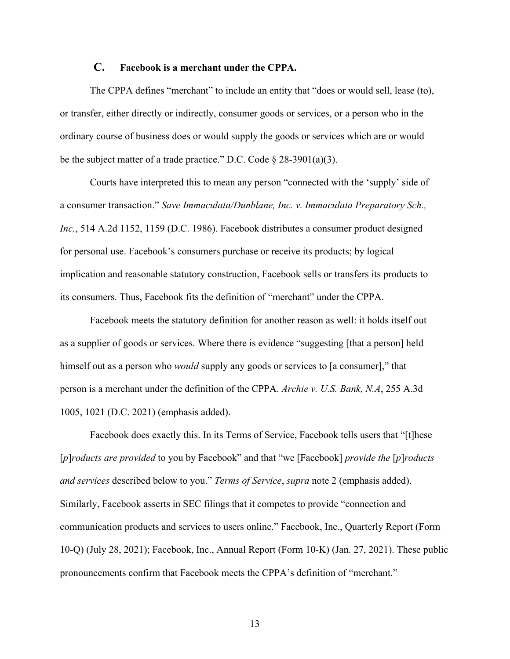#### **C. Facebook is a merchant under the CPPA.**

The CPPA defines "merchant" to include an entity that "does or would sell, lease (to), or transfer, either directly or indirectly, consumer goods or services, or a person who in the ordinary course of business does or would supply the goods or services which are or would be the subject matter of a trade practice." D.C. Code  $\S 28-3901(a)(3)$ .

Courts have interpreted this to mean any person "connected with the 'supply' side of a consumer transaction." *Save Immaculata/Dunblane, Inc. v. Immaculata Preparatory Sch., Inc.*, 514 A.2d 1152, 1159 (D.C. 1986). Facebook distributes a consumer product designed for personal use. Facebook's consumers purchase or receive its products; by logical implication and reasonable statutory construction, Facebook sells or transfers its products to its consumers. Thus, Facebook fits the definition of "merchant" under the CPPA.

Facebook meets the statutory definition for another reason as well: it holds itself out as a supplier of goods or services. Where there is evidence "suggesting [that a person] held himself out as a person who *would* supply any goods or services to [a consumer]," that person is a merchant under the definition of the CPPA. *Archie v. U.S. Bank, N.A*, 255 A.3d 1005, 1021 (D.C. 2021) (emphasis added).

Facebook does exactly this. In its Terms of Service, Facebook tells users that "[t]hese [*p*]*roducts are provided* to you by Facebook" and that "we [Facebook] *provide the* [*p*]*roducts and services* described below to you." *Terms of Service*, *supra* note 2 (emphasis added). Similarly, Facebook asserts in SEC filings that it competes to provide "connection and communication products and services to users online." Facebook, Inc., Quarterly Report (Form 10-Q) (July 28, 2021); Facebook, Inc., Annual Report (Form 10-K) (Jan. 27, 2021). These public pronouncements confirm that Facebook meets the CPPA's definition of "merchant."

13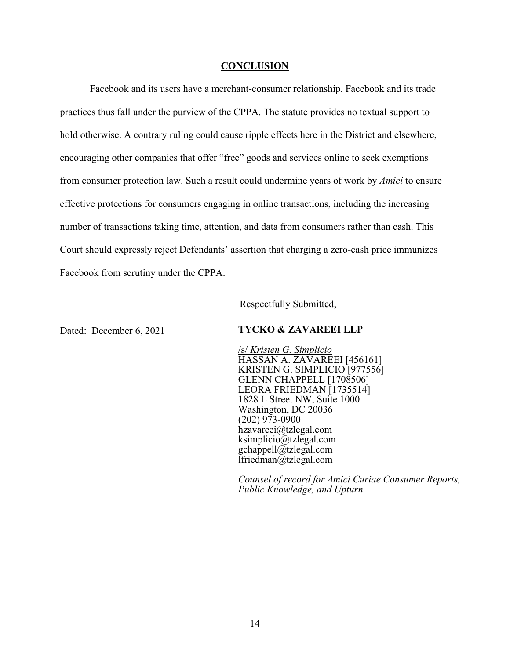#### **CONCLUSION**

Facebook and its users have a merchant-consumer relationship. Facebook and its trade practices thus fall under the purview of the CPPA. The statute provides no textual support to hold otherwise. A contrary ruling could cause ripple effects here in the District and elsewhere, encouraging other companies that offer "free" goods and services online to seek exemptions from consumer protection law. Such a result could undermine years of work by *Amici* to ensure effective protections for consumers engaging in online transactions, including the increasing number of transactions taking time, attention, and data from consumers rather than cash. This Court should expressly reject Defendants' assertion that charging a zero-cash price immunizes Facebook from scrutiny under the CPPA.

Respectfully Submitted,

#### Dated: December 6, 2021 **TYCKO & ZAVAREEI LLP**

/s/ *Kristen G. Simplicio* HASSAN A. ZAVAREEI [456161] KRISTEN G. SIMPLICIO [977556] GLENN CHAPPELL [1708506] LEORA FRIEDMAN [1735514] 1828 L Street NW, Suite 1000 Washington, DC 20036 (202) 973-0900 hzavareei@tzlegal.com ksimplicio@tzlegal.com gchappell@tzlegal.com lfriedman@tzlegal.com

*Counsel of record for Amici Curiae Consumer Reports, Public Knowledge, and Upturn*